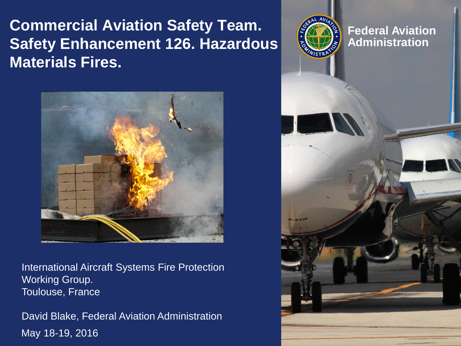**Commercial Aviation Safety Team. Safety Enhancement 126. Hazardous Materials Fires.**



וסוו<br>"גבי Toulouse, France International Aircraft Systems Fire Protection Working Group.

May 18-19, 2016 David Blake, Federal Aviation Administration

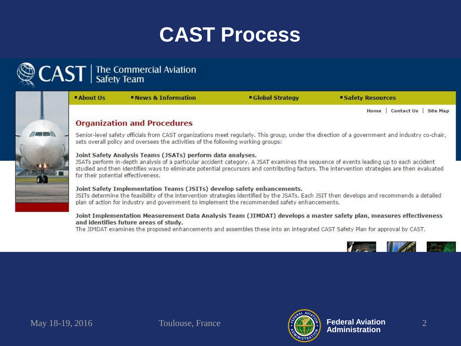# **CAST Process**

# $\text{CAST}$  | The Commercial Aviation



**About Us News & Information** 

**Global Strategy** 

**Safety Resources** 

Home | Contact Us | Site Map

## **Organization and Procedures**

Senior-level safety officials from CAST organizations meet regularly. This group, under the direction of a government and industry co-chair, sets overall policy and oversees the activities of the following working groups:

#### Joint Safety Analysis Teams (JSATs) perform data analyses.

JSATs perform in-depth analysis of a particular accident category. A JSAT examines the sequence of events leading up to each accident studied and then identifies ways to eliminate potential precursors and contributing factors. The intervention strategies are then evaluated for their potential effectiveness.

#### Joint Safety Implementation Teams (JSITs) develop safety enhancements.

JSITs determine the feasibility of the intervention strategies identified by the JSATs. Each JSIT then develops and recommends a detailed plan of action for industry and government to implement the recommended safety enhancements.

#### Joint Implementation Measurement Data Analysis Team (JIMDAT) develops a master safety plan, measures effectiveness and identifies future areas of study.

The JIMDAT examines the proposed enhancements and assembles these into an integrated CAST Safety Plan for approval by CAST.



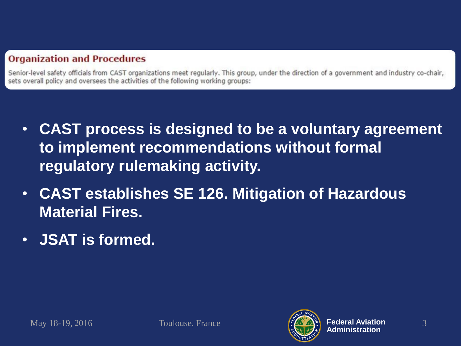# **Organization and Procedures**

Senior-level safety officials from CAST organizations meet regularly. This group, under the direction of a government and industry co-chair, sets overall policy and oversees the activities of the following working groups:

- **CAST process is designed to be a voluntary agreement to implement recommendations without formal regulatory rulemaking activity.**
- **CAST establishes SE 126. Mitigation of Hazardous Material Fires.**
- **JSAT is formed.**

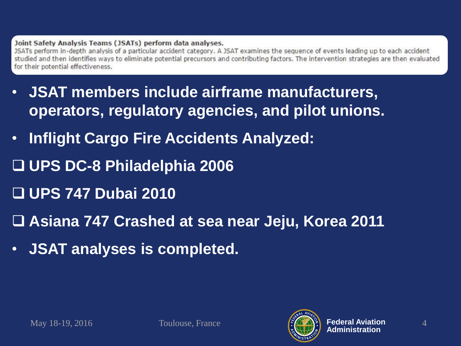### Joint Safety Analysis Teams (JSATs) perform data analyses.

JSATs perform in-depth analysis of a particular accident category. A JSAT examines the sequence of events leading up to each accident studied and then identifies ways to eliminate potential precursors and contributing factors. The intervention strategies are then evaluated for their potential effectiveness.

- **JSAT members include airframe manufacturers, operators, regulatory agencies, and pilot unions.**
- **Inflight Cargo Fire Accidents Analyzed:**
- **UPS DC-8 Philadelphia 2006**
- **UPS 747 Dubai 2010**
- **Asiana 747 Crashed at sea near Jeju, Korea 2011**
- **JSAT analyses is completed.**

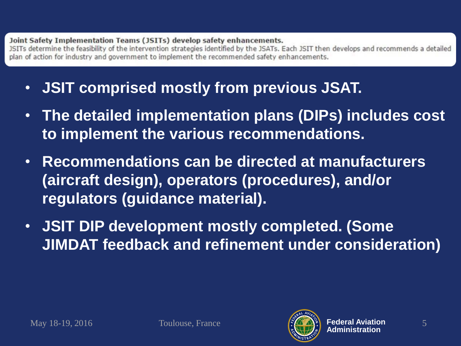### Joint Safety Implementation Teams (JSITs) develop safety enhancements.

JSITs determine the feasibility of the intervention strategies identified by the JSATs. Each JSIT then develops and recommends a detailed plan of action for industry and government to implement the recommended safety enhancements.

- **JSIT comprised mostly from previous JSAT.**
- **The detailed implementation plans (DIPs) includes cost to implement the various recommendations.**
- **Recommendations can be directed at manufacturers (aircraft design), operators (procedures), and/or regulators (guidance material).**
- **JSIT DIP development mostly completed. (Some JIMDAT feedback and refinement under consideration)**